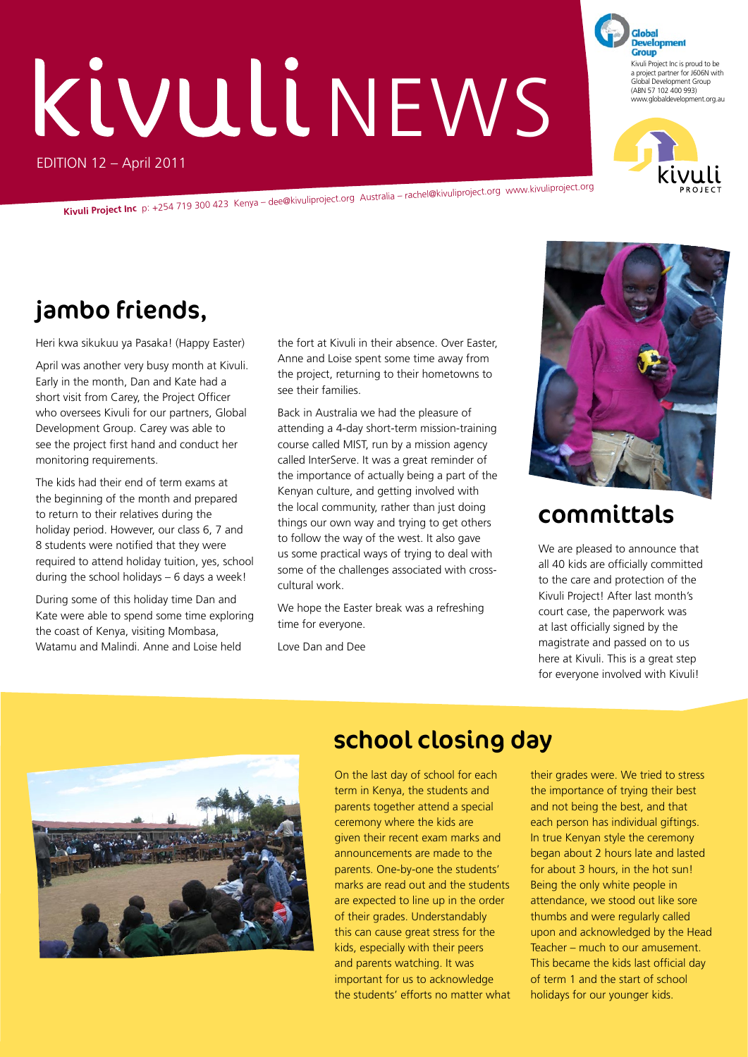# EDITION 12 – April 2011 **Kivuli** NEWS

**Kivuli Project Inc** p: +254 719 300 423 Kenya – dee@kivuliproject.org Australia – rachel@kivuliproject.org www.kivuliproject.org

## jambo friends,

Heri kwa sikukuu ya Pasaka! (Happy Easter)

April was another very busy month at Kivuli. Early in the month, Dan and Kate had a short visit from Carey, the Project Officer who oversees Kivuli for our partners, Global Development Group. Carey was able to see the project first hand and conduct her monitoring requirements.

The kids had their end of term exams at the beginning of the month and prepared to return to their relatives during the holiday period. However, our class 6, 7 and 8 students were notified that they were required to attend holiday tuition, yes, school during the school holidays – 6 days a week!

During some of this holiday time Dan and Kate were able to spend some time exploring the coast of Kenya, visiting Mombasa, Watamu and Malindi. Anne and Loise held

the fort at Kivuli in their absence. Over Easter, Anne and Loise spent some time away from the project, returning to their hometowns to see their families.

Back in Australia we had the pleasure of attending a 4-day short-term mission-training course called MIST, run by a mission agency called InterServe. It was a great reminder of the importance of actually being a part of the Kenyan culture, and getting involved with the local community, rather than just doing things our own way and trying to get others to follow the way of the west. It also gave us some practical ways of trying to deal with some of the challenges associated with crosscultural work.

We hope the Easter break was a refreshing time for everyone.

Love Dan and Dee



THEORGANISATIONHASBEENSETUPTOHELP

## committals

We are pleased to announce that all 40 kids are officially committed to the care and protection of the Kivuli Project! After last month's court case, the paperwork was at last officially signed by the magistrate and passed on to us here at Kivuli. This is a great step for everyone involved with Kivuli!



## school closing day

On the last day of school for each term in Kenya, the students and parents together attend a special ceremony where the kids are given their recent exam marks and announcements are made to the parents. One-by-one the students' marks are read out and the students are expected to line up in the order of their grades. Understandably this can cause great stress for the kids, especially with their peers and parents watching. It was important for us to acknowledge the students' efforts no matter what

their grades were. We tried to stress the importance of trying their best and not being the best, and that each person has individual giftings. In true Kenyan style the ceremony began about 2 hours late and lasted for about 3 hours, in the hot sun! Being the only white people in attendance, we stood out like sore thumbs and were regularly called upon and acknowledged by the Head Teacher – much to our amusement. This became the kids last official day of term 1 and the start of school holidays for our younger kids.

**Development Group** Kivuli Project Inc is proud to be a project partner for J606N with Global Development Group (ABN 57 102 400 993) www.globaldevelopment.org.au

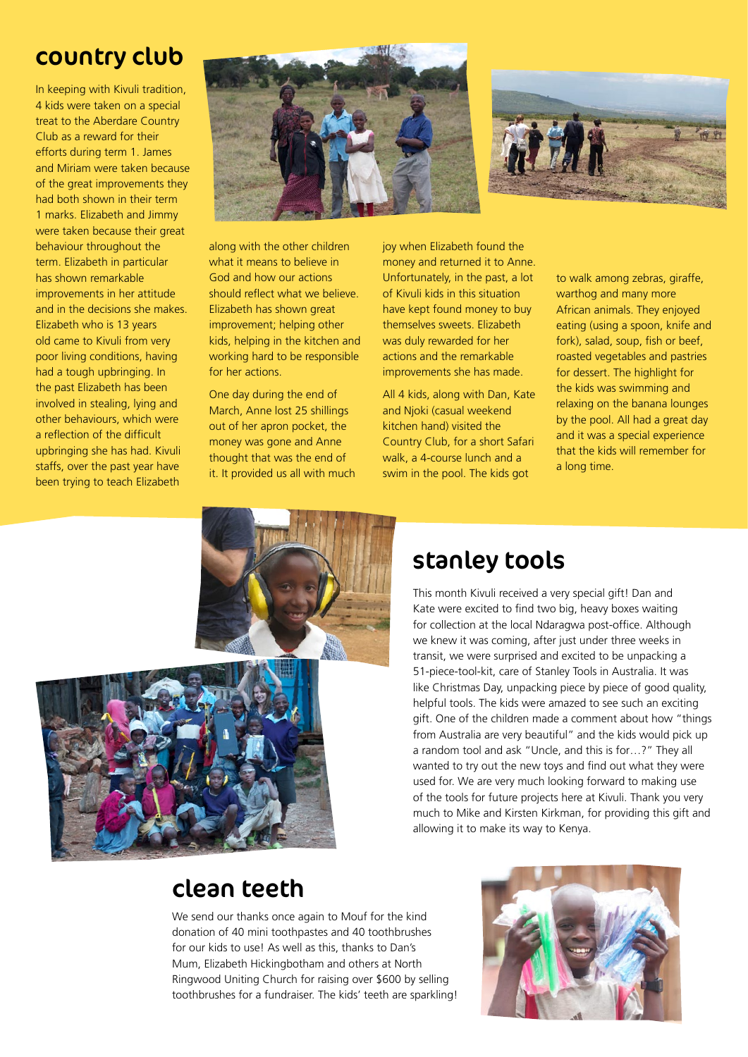## country club

In keeping with Kivuli tradition, 4 kids were taken on a special treat to the Aberdare Country Club as a reward for their efforts during term 1. James and Miriam were taken because of the great improvements they had both shown in their term 1 marks. Elizabeth and Jimmy were taken because their great behaviour throughout the term. Elizabeth in particular has shown remarkable improvements in her attitude and in the decisions she makes. Elizabeth who is 13 years old came to Kivuli from very poor living conditions, having had a tough upbringing. In the past Elizabeth has been involved in stealing, lying and other behaviours, which were a reflection of the difficult upbringing she has had. Kivuli staffs, over the past year have been trying to teach Elizabeth





along with the other children what it means to believe in God and how our actions should reflect what we believe. Elizabeth has shown great improvement: helping other kids, helping in the kitchen and working hard to be responsible for her actions.

One day during the end of March, Anne lost 25 shillings out of her apron pocket, the money was gone and Anne thought that was the end of it. It provided us all with much joy when Elizabeth found the money and returned it to Anne. Unfortunately, in the past, a lot of Kivuli kids in this situation have kept found money to buy themselves sweets. Elizabeth was duly rewarded for her actions and the remarkable improvements she has made.

All 4 kids, along with Dan, Kate and Njoki (casual weekend kitchen hand) visited the Country Club, for a short Safari walk, a 4-course lunch and a swim in the pool. The kids got

to walk among zebras, giraffe, warthog and many more African animals. They enjoyed eating (using a spoon, knife and fork), salad, soup, fish or beef, roasted vegetables and pastries for dessert. The highlight for the kids was swimming and relaxing on the banana lounges by the pool. All had a great day and it was a special experience that the kids will remember for a long time.



## stanley tools

This month Kivuli received a very special gift! Dan and Kate were excited to find two big, heavy boxes waiting for collection at the local Ndaragwa post-office. Although we knew it was coming, after just under three weeks in transit, we were surprised and excited to be unpacking a 51-piece-tool-kit, care of Stanley Tools in Australia. It was like Christmas Day, unpacking piece by piece of good quality, helpful tools. The kids were amazed to see such an exciting gift. One of the children made a comment about how "things from Australia are very beautiful" and the kids would pick up a random tool and ask "Uncle, and this is for…?" They all wanted to try out the new toys and find out what they were used for. We are very much looking forward to making use of the tools for future projects here at Kivuli. Thank you very much to Mike and Kirsten Kirkman, for providing this gift and allowing it to make its way to Kenya.



## clean teeth

We send our thanks once again to Mouf for the kind donation of 40 mini toothpastes and 40 toothbrushes for our kids to use! As well as this, thanks to Dan's Mum, Elizabeth Hickingbotham and others at North Ringwood Uniting Church for raising over \$600 by selling toothbrushes for a fundraiser. The kids' teeth are sparkling!